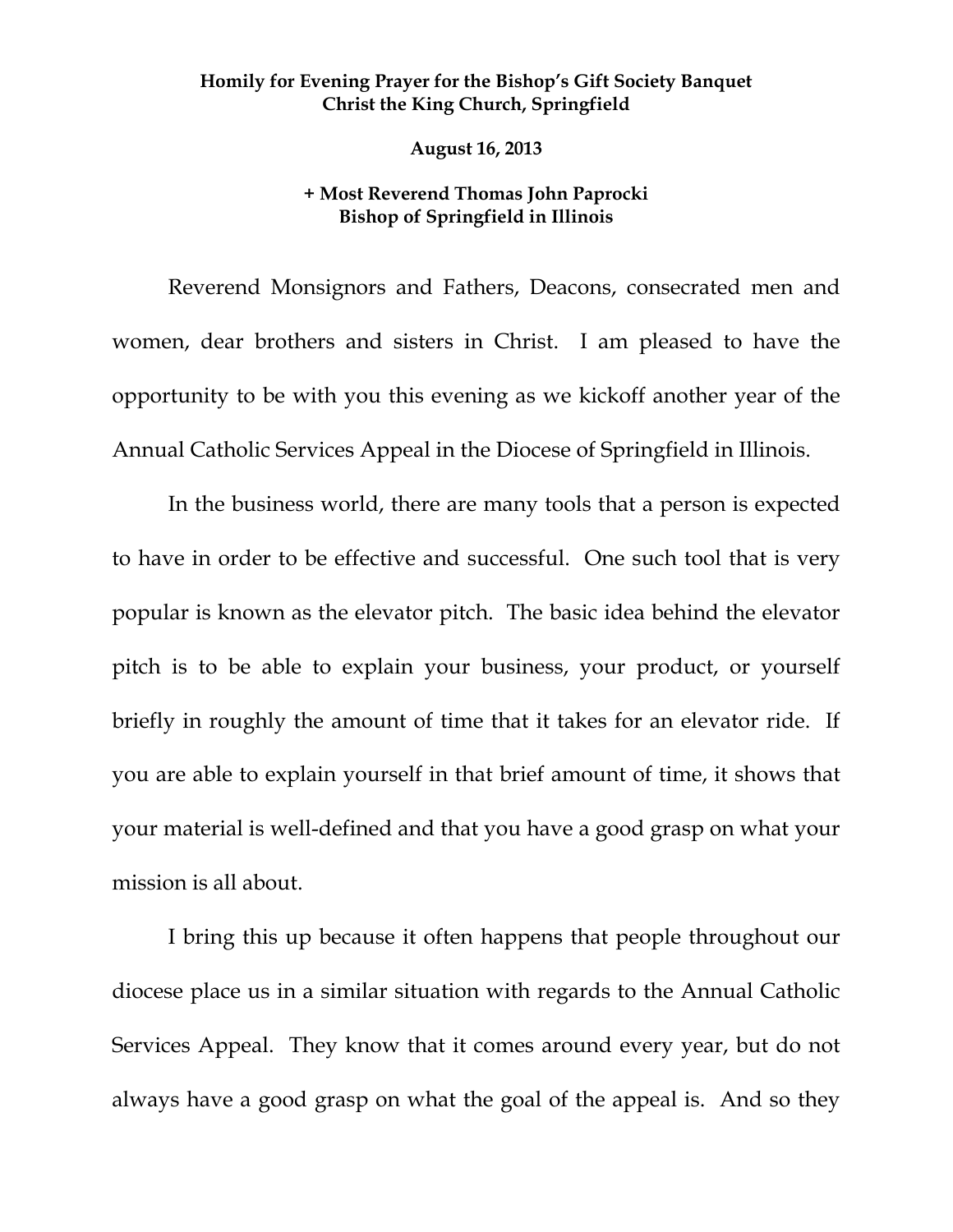## **Homily for Evening Prayer for the Bishop's Gift Society Banquet Christ the King Church, Springfield**

 **August 16, 2013** 

## **+ Most Reverend Thomas John Paprocki Bishop of Springfield in Illinois**

Reverend Monsignors and Fathers, Deacons, consecrated men and women, dear brothers and sisters in Christ. I am pleased to have the opportunity to be with you this evening as we kickoff another year of the Annual Catholic Services Appeal in the Diocese of Springfield in Illinois.

In the business world, there are many tools that a person is expected to have in order to be effective and successful. One such tool that is very popular is known as the elevator pitch. The basic idea behind the elevator pitch is to be able to explain your business, your product, or yourself briefly in roughly the amount of time that it takes for an elevator ride. If you are able to explain yourself in that brief amount of time, it shows that your material is well-defined and that you have a good grasp on what your mission is all about.

I bring this up because it often happens that people throughout our diocese place us in a similar situation with regards to the Annual Catholic Services Appeal. They know that it comes around every year, but do not always have a good grasp on what the goal of the appeal is. And so they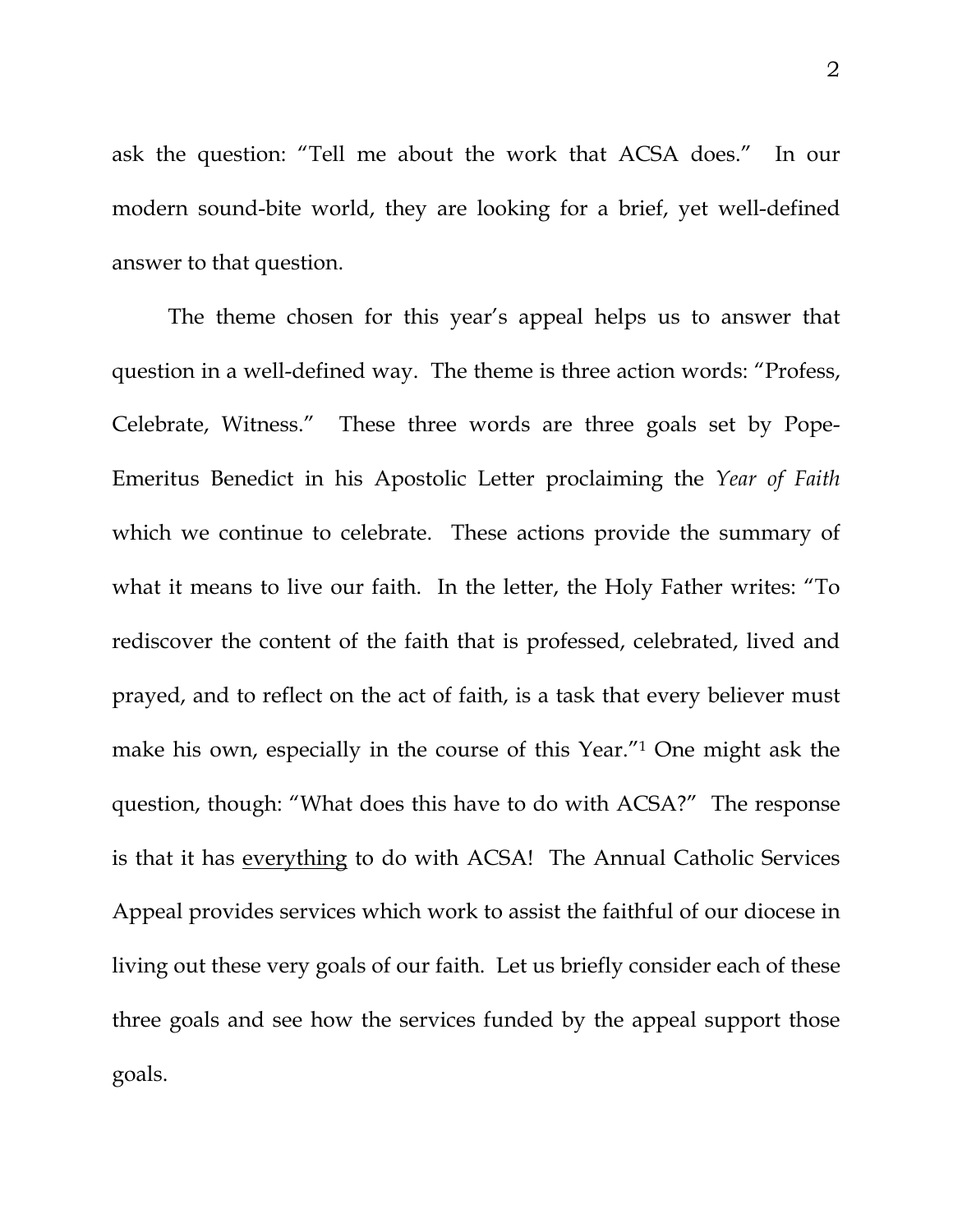ask the question: "Tell me about the work that ACSA does." In our modern sound-bite world, they are looking for a brief, yet well-defined answer to that question.

The theme chosen for this year's appeal helps us to answer that question in a well-defined way. The theme is three action words: "Profess, Celebrate, Witness." These three words are three goals set by Pope-Emeritus Benedict in his Apostolic Letter proclaiming the *Year of Faith* which we continue to celebrate. These actions provide the summary of what it means to live our faith. In the letter, the Holy Father writes: "To rediscover the content of the faith that is professed, celebrated, lived and prayed, and to reflect on the act of faith, is a task that every believer must make his own, especially in the course of this Year."1 One might ask the question, though: "What does this have to do with ACSA?" The response is that it has everything to do with ACSA! The Annual Catholic Services Appeal provides services which work to assist the faithful of our diocese in living out these very goals of our faith. Let us briefly consider each of these three goals and see how the services funded by the appeal support those goals.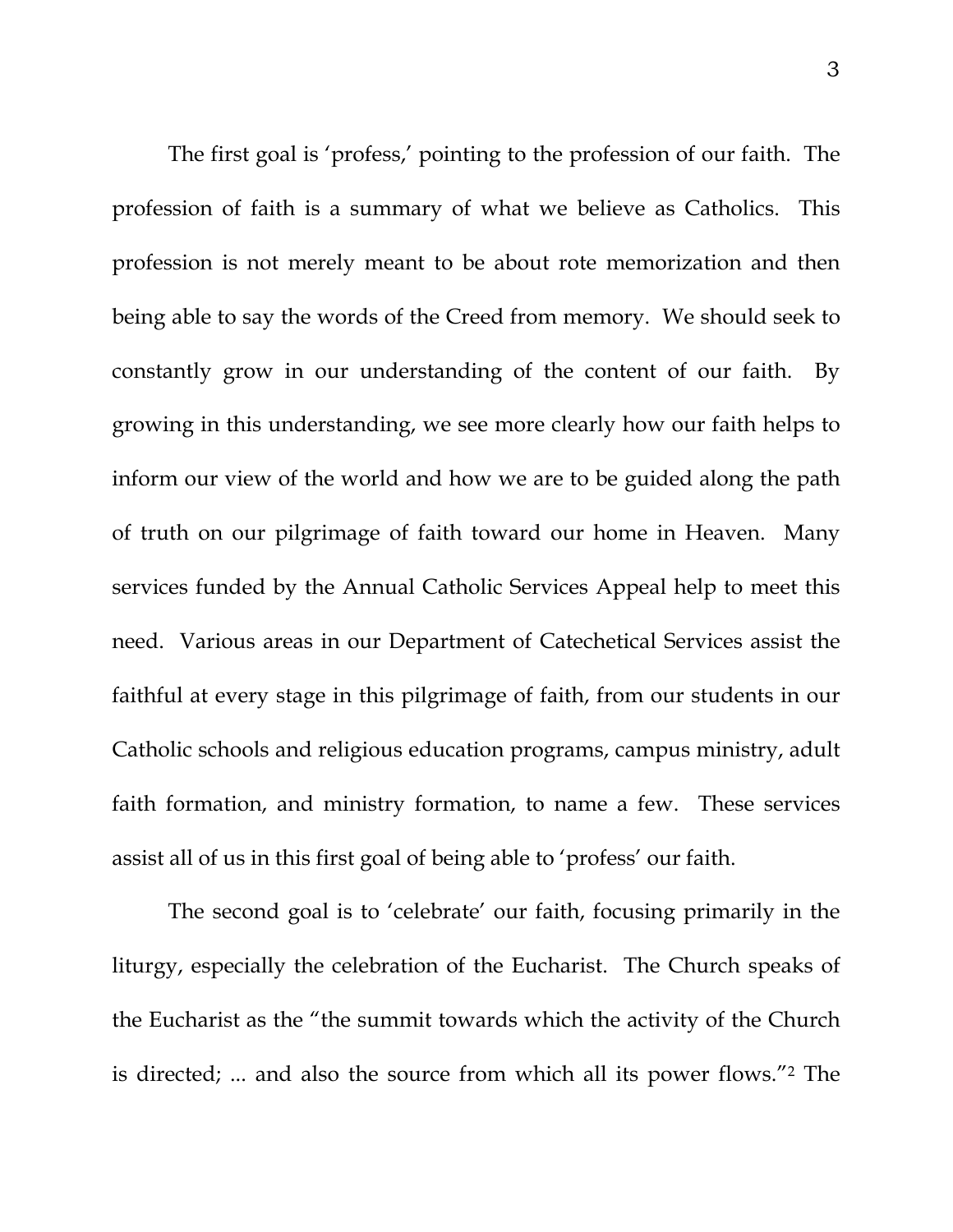The first goal is 'profess,' pointing to the profession of our faith. The profession of faith is a summary of what we believe as Catholics. This profession is not merely meant to be about rote memorization and then being able to say the words of the Creed from memory. We should seek to constantly grow in our understanding of the content of our faith. By growing in this understanding, we see more clearly how our faith helps to inform our view of the world and how we are to be guided along the path of truth on our pilgrimage of faith toward our home in Heaven. Many services funded by the Annual Catholic Services Appeal help to meet this need. Various areas in our Department of Catechetical Services assist the faithful at every stage in this pilgrimage of faith, from our students in our Catholic schools and religious education programs, campus ministry, adult faith formation, and ministry formation, to name a few. These services assist all of us in this first goal of being able to 'profess' our faith.

The second goal is to 'celebrate' our faith, focusing primarily in the liturgy, especially the celebration of the Eucharist. The Church speaks of the Eucharist as the "the summit towards which the activity of the Church is directed; ... and also the source from which all its power flows."2 The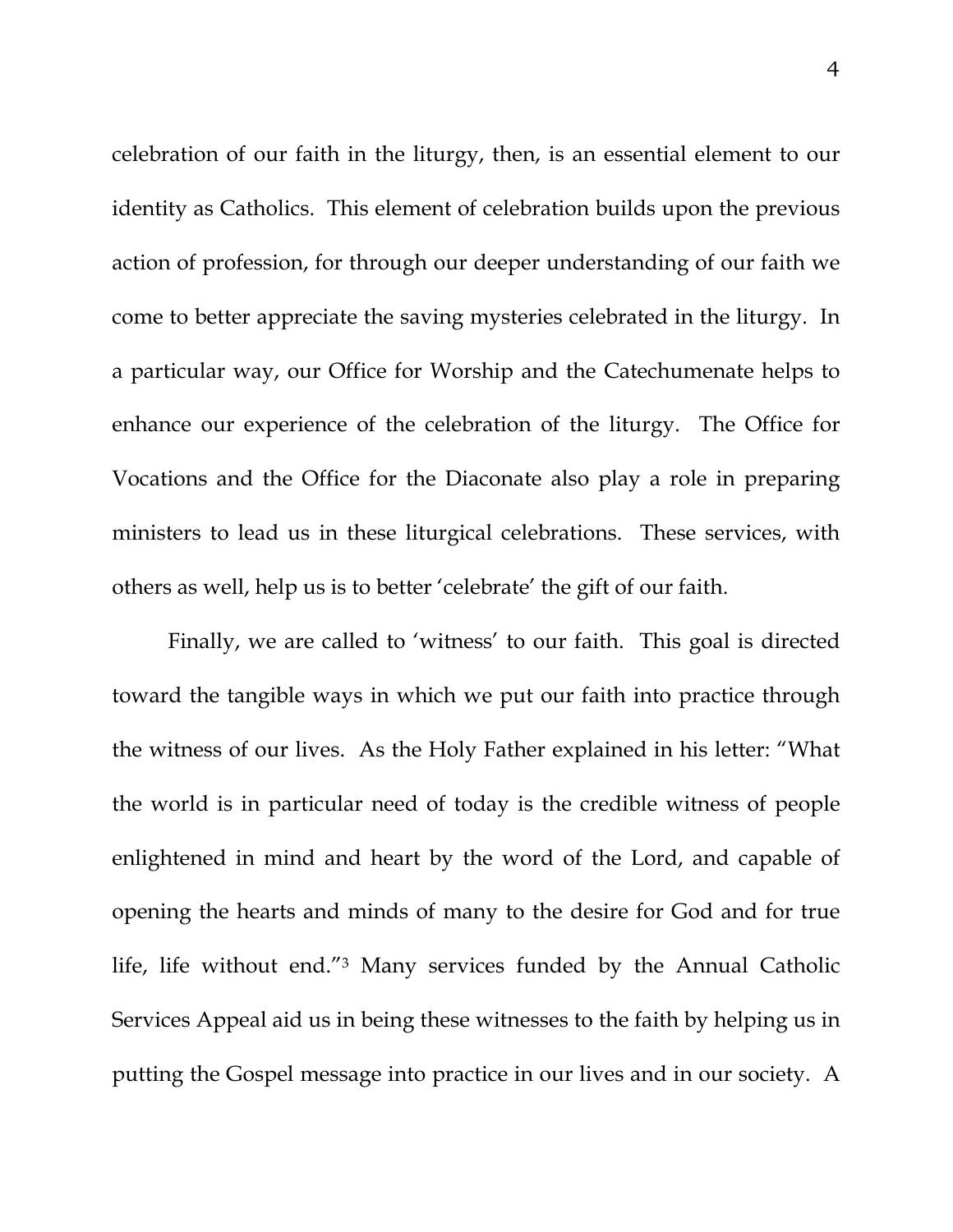celebration of our faith in the liturgy, then, is an essential element to our identity as Catholics. This element of celebration builds upon the previous action of profession, for through our deeper understanding of our faith we come to better appreciate the saving mysteries celebrated in the liturgy. In a particular way, our Office for Worship and the Catechumenate helps to enhance our experience of the celebration of the liturgy. The Office for Vocations and the Office for the Diaconate also play a role in preparing ministers to lead us in these liturgical celebrations. These services, with others as well, help us is to better 'celebrate' the gift of our faith.

Finally, we are called to 'witness' to our faith. This goal is directed toward the tangible ways in which we put our faith into practice through the witness of our lives. As the Holy Father explained in his letter: "What the world is in particular need of today is the credible witness of people enlightened in mind and heart by the word of the Lord, and capable of opening the hearts and minds of many to the desire for God and for true life, life without end."3 Many services funded by the Annual Catholic Services Appeal aid us in being these witnesses to the faith by helping us in putting the Gospel message into practice in our lives and in our society. A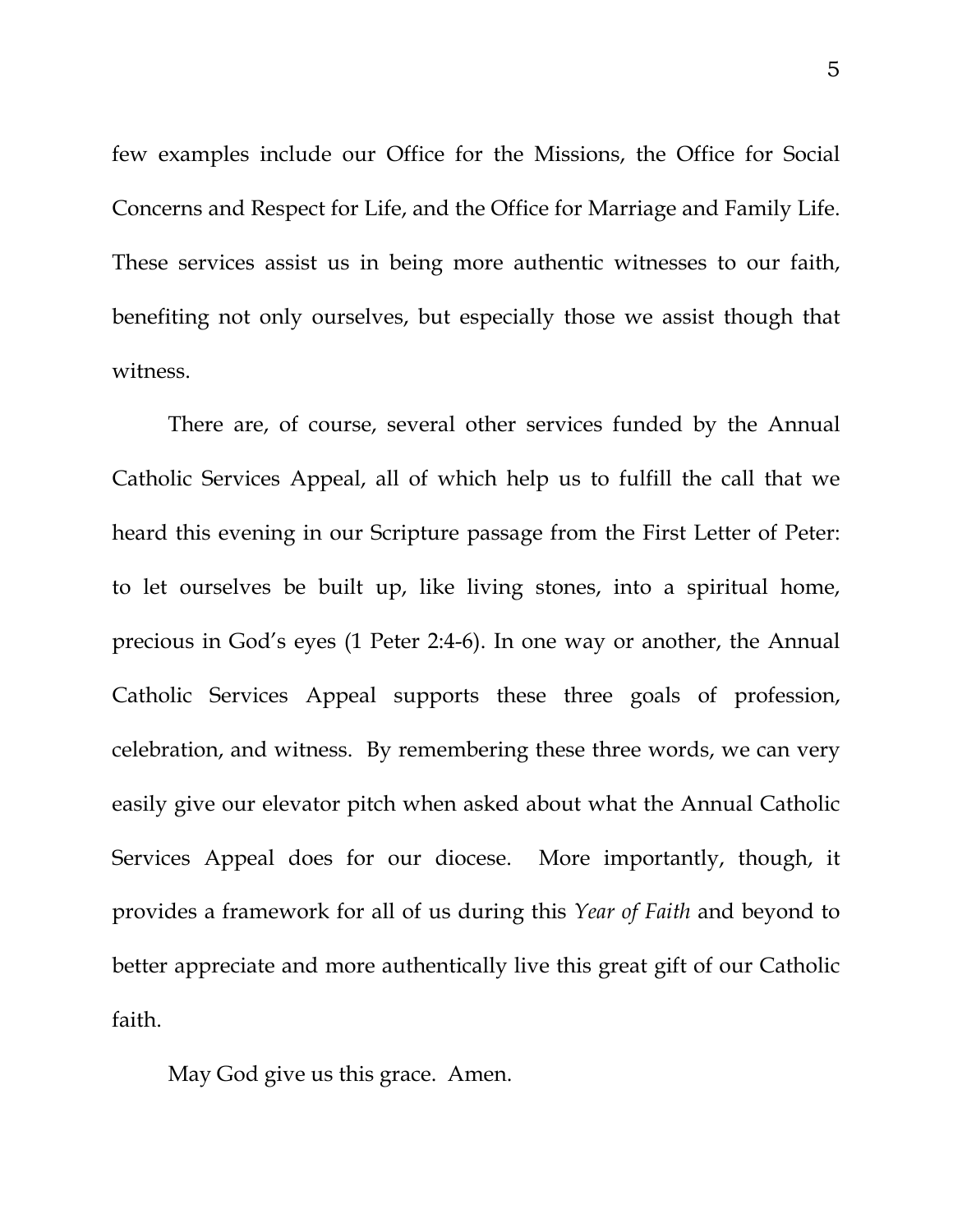few examples include our Office for the Missions, the Office for Social Concerns and Respect for Life, and the Office for Marriage and Family Life. These services assist us in being more authentic witnesses to our faith, benefiting not only ourselves, but especially those we assist though that witness.

There are, of course, several other services funded by the Annual Catholic Services Appeal, all of which help us to fulfill the call that we heard this evening in our Scripture passage from the First Letter of Peter: to let ourselves be built up, like living stones, into a spiritual home, precious in God's eyes (1 Peter 2:4-6). In one way or another, the Annual Catholic Services Appeal supports these three goals of profession, celebration, and witness. By remembering these three words, we can very easily give our elevator pitch when asked about what the Annual Catholic Services Appeal does for our diocese. More importantly, though, it provides a framework for all of us during this *Year of Faith* and beyond to better appreciate and more authentically live this great gift of our Catholic faith.

May God give us this grace. Amen.